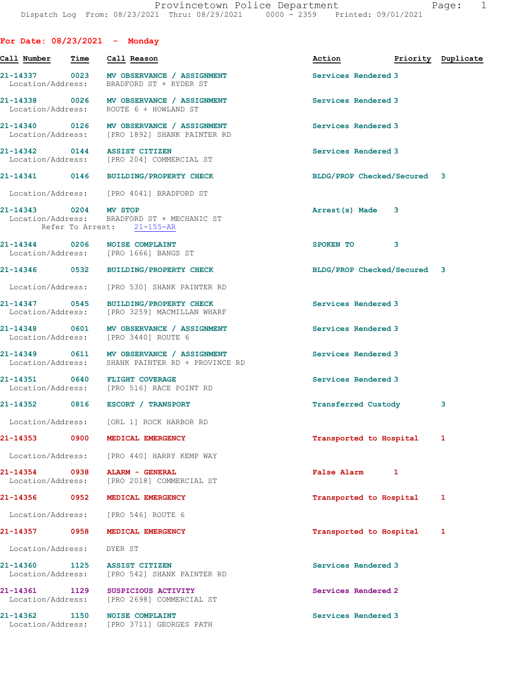| For Date: $08/23/2021$ - Monday    |      |                                                                                              |                             |   |                    |
|------------------------------------|------|----------------------------------------------------------------------------------------------|-----------------------------|---|--------------------|
| Call Number                        | Time | Call Reason                                                                                  | Action                      |   | Priority Duplicate |
|                                    |      | 21-14337 0023 MV OBSERVANCE / ASSIGNMENT<br>Location/Address: BRADFORD ST + RYDER ST         | Services Rendered 3         |   |                    |
|                                    |      | 21-14338 0026 MV OBSERVANCE / ASSIGNMENT<br>Location/Address: ROUTE 6 + HOWLAND ST           | Services Rendered 3         |   |                    |
|                                    |      | 21-14340 0126 MV OBSERVANCE / ASSIGNMENT<br>Location/Address: [PRO 1892] SHANK PAINTER RD    | Services Rendered 3         |   |                    |
|                                    |      | 21-14342 0144 ASSIST CITIZEN<br>Location/Address: [PRO 204] COMMERCIAL ST                    | Services Rendered 3         |   |                    |
|                                    |      | 21-14341 0146 BUILDING/PROPERTY CHECK                                                        | BLDG/PROP Checked/Secured 3 |   |                    |
|                                    |      | Location/Address: [PRO 4041] BRADFORD ST                                                     |                             |   |                    |
| 21-14343 0204 MV STOP              |      | Location/Address: BRADFORD ST + MECHANIC ST<br>Refer To Arrest: 21-155-AR                    | Arrest(s) Made              | 3 |                    |
|                                    |      | 21-14344 0206 NOISE COMPLAINT<br>Location/Address: [PRO 1666] BANGS ST                       | SPOKEN TO                   | 3 |                    |
|                                    |      | 21-14346 0532 BUILDING/PROPERTY CHECK                                                        | BLDG/PROP Checked/Secured 3 |   |                    |
|                                    |      | Location/Address: [PRO 530] SHANK PAINTER RD                                                 |                             |   |                    |
|                                    |      | 21-14347 0545 BUILDING/PROPERTY CHECK<br>Location/Address: [PRO 3259] MACMILLAN WHARF        | Services Rendered 3         |   |                    |
|                                    |      | 21-14348 0601 MV OBSERVANCE / ASSIGNMENT<br>Location/Address: [PRO 3440] ROUTE 6             | Services Rendered 3         |   |                    |
|                                    |      | 21-14349 0611 MV OBSERVANCE / ASSIGNMENT<br>Location/Address: SHANK PAINTER RD + PROVINCE RD | Services Rendered 3         |   |                    |
|                                    |      | 21-14351 0640 FLIGHT COVERAGE<br>Location/Address: [PRO 516] RACE POINT RD                   | Services Rendered 3         |   |                    |
|                                    |      | 21-14352 0816 ESCORT / TRANSPORT                                                             | <b>Transferred Custody</b>  |   | 3                  |
|                                    |      | Location/Address: [ORL 1] ROCK HARBOR RD                                                     |                             |   |                    |
| 21-14353                           | 0900 | MEDICAL EMERGENCY                                                                            | Transported to Hospital     |   | 1                  |
|                                    |      | Location/Address: [PRO 440] HARRY KEMP WAY                                                   |                             |   |                    |
| 21-14354 0938<br>Location/Address: |      | ALARM - GENERAL<br>[PRO 2018] COMMERCIAL ST                                                  | <b>False Alarm</b>          | 1 |                    |
| 21-14356                           | 0952 | MEDICAL EMERGENCY                                                                            | Transported to Hospital     |   | 1                  |
| Location/Address:                  |      | [PRO 546] ROUTE 6                                                                            |                             |   |                    |
| 21-14357 0958                      |      | MEDICAL EMERGENCY                                                                            | Transported to Hospital     |   | 1                  |
| Location/Address:                  |      | DYER ST                                                                                      |                             |   |                    |
| 21-14360 1125                      |      | <b>ASSIST CITIZEN</b><br>Location/Address: [PRO 542] SHANK PAINTER RD                        | Services Rendered 3         |   |                    |
| 21-14361 1129<br>Location/Address: |      | SUSPICIOUS ACTIVITY<br>[PRO 2698] COMMERCIAL ST                                              | Services Rendered 2         |   |                    |
| 21-14362                           | 1150 | <b>NOISE COMPLAINT</b><br>Location/Address: [PRO 3711] GEORGES PATH                          | Services Rendered 3         |   |                    |
|                                    |      |                                                                                              |                             |   |                    |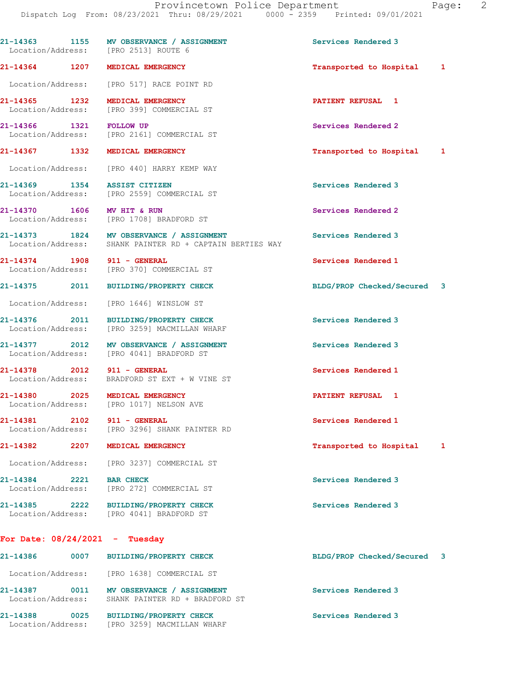|                                  | 21-14363 1155 MV OBSERVANCE / ASSIGNMENT<br>Location/Address: [PRO 2513] ROUTE 6                     | Services Rendered 3         |  |
|----------------------------------|------------------------------------------------------------------------------------------------------|-----------------------------|--|
|                                  | 21-14364 1207 MEDICAL EMERGENCY                                                                      | Transported to Hospital 1   |  |
|                                  | Location/Address: [PRO 517] RACE POINT RD                                                            |                             |  |
| 21-14365 1232                    | MEDICAL EMERGENCY<br>Location/Address: [PRO 399] COMMERCIAL ST                                       | <b>PATIENT REFUSAL 1</b>    |  |
| 21-14366 1321 FOLLOW UP          | Location/Address: [PRO 2161] COMMERCIAL ST                                                           | Services Rendered 2         |  |
|                                  | 21-14367 1332 MEDICAL EMERGENCY                                                                      | Transported to Hospital 1   |  |
|                                  | Location/Address: [PRO 440] HARRY KEMP WAY                                                           |                             |  |
|                                  | 21-14369 1354 ASSIST CITIZEN<br>Location/Address: [PRO 2559] COMMERCIAL ST                           | Services Rendered 3         |  |
| 21-14370 1606 MV HIT & RUN       | Location/Address: [PRO 1708] BRADFORD ST                                                             | Services Rendered 2         |  |
|                                  | 21-14373 1824 MV OBSERVANCE / ASSIGNMENT<br>Location/Address: SHANK PAINTER RD + CAPTAIN BERTIES WAY | Services Rendered 3         |  |
| 21-14374 1908 911 - GENERAL      | Location/Address: [PRO 370] COMMERCIAL ST                                                            | Services Rendered 1         |  |
|                                  | 21-14375 2011 BUILDING/PROPERTY CHECK                                                                | BLDG/PROP Checked/Secured 3 |  |
|                                  | Location/Address: [PRO 1646] WINSLOW ST                                                              |                             |  |
|                                  | 21-14376 2011 BUILDING/PROPERTY CHECK<br>Location/Address: [PRO 3259] MACMILLAN WHARF                | Services Rendered 3         |  |
|                                  | 21-14377 2012 MV OBSERVANCE / ASSIGNMENT<br>Location/Address: [PRO 4041] BRADFORD ST                 | Services Rendered 3         |  |
|                                  | 21-14378 2012 911 - GENERAL<br>Location/Address: BRADFORD ST EXT + W VINE ST                         | Services Rendered 1         |  |
|                                  | 21-14380 2025 MEDICAL EMERGENCY<br>Location/Address: [PRO 1017] NELSON AVE                           | <b>PATIENT REFUSAL 1</b>    |  |
| 21-14381 2102 911 - GENERAL      | Location/Address: [PRO 3296] SHANK PAINTER RD                                                        | Services Rendered 1         |  |
| 21-14382                         | 2207 MEDICAL EMERGENCY                                                                               | Transported to Hospital 1   |  |
|                                  | Location/Address: [PRO 3237] COMMERCIAL ST                                                           |                             |  |
| 21-14384 2221 BAR CHECK          | Location/Address: [PRO 272] COMMERCIAL ST                                                            | Services Rendered 3         |  |
|                                  | 21-14385 2222 BUILDING/PROPERTY CHECK<br>Location/Address: [PRO 4041] BRADFORD ST                    | Services Rendered 3         |  |
| For Date: $08/24/2021$ - Tuesday |                                                                                                      |                             |  |
|                                  | 21-14386 0007 BUILDING/PROPERTY CHECK                                                                | BLDG/PROP Checked/Secured 3 |  |
|                                  | Location/Address: [PRO 1638] COMMERCIAL ST                                                           |                             |  |
|                                  | 21-14387 0011 MV OBSERVANCE / ASSIGNMENT<br>Location/Address: SHANK PAINTER RD + BRADFORD ST         | Services Rendered 3         |  |
|                                  | 21-14388 0025 BUILDING/PROPERTY CHECK<br>Location/Address: [PRO 3259] MACMILLAN WHARF                | Services Rendered 3         |  |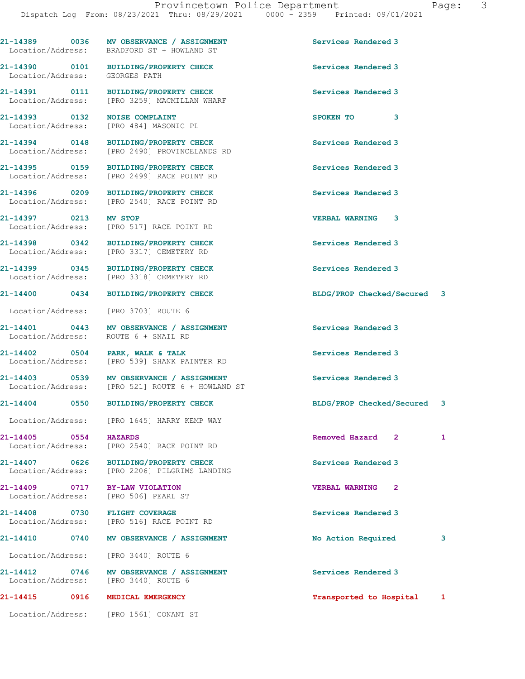21-14389 0036 MV OBSERVANCE / ASSIGNMENT Services Rendered 3 Location/Address: BRADFORD ST + HOWLAND ST 21-14390 0101 BUILDING/PROPERTY CHECK Services Rendered 3 Location/Address: GEORGES PATH 21-14391 0111 BUILDING/PROPERTY CHECK Services Rendered 3 Location/Address: [PRO 3259] MACMILLAN WHARF 21-14393 0132 NOISE COMPLAINT SPOKEN TO 3 Location/Address: [PRO 484] MASONIC PL 21-14394 0148 BUILDING/PROPERTY CHECK Services Rendered 3 Location/Address: [PRO 2490] PROVINCELANDS RD 21-14395 0159 BUILDING/PROPERTY CHECK Services Rendered 3 Location/Address: [PRO 2499] RACE POINT RD 21-14396 0209 BUILDING/PROPERTY CHECK Services Rendered 3 Location/Address: [PRO 2540] RACE POINT RD 21-14397 0213 MV STOP VERBAL WARNING 3 [PRO 517] RACE POINT RD 21-14398 0342 BUILDING/PROPERTY CHECK Services Rendered 3<br>
Location/Address: [PRO 3317] CEMETERY RD [PRO 3317] CEMETERY RD 21-14399 0345 BUILDING/PROPERTY CHECK Services Rendered 3 Location/Address: [PRO 3318] CEMETERY RD 21-14400 0434 BUILDING/PROPERTY CHECK BLDG/PROP Checked/Secured 3 Location/Address: [PRO 3703] ROUTE 6 21-14401 0443 MV OBSERVANCE / ASSIGNMENT Services Rendered 3 Location/Address: ROUTE 6 + SNAIL RD 21-14402 0504 PARK, WALK & TALK Services Rendered 3 Location/Address: [PRO 539] SHANK PAINTER RD 21-14403 0539 MV OBSERVANCE / ASSIGNMENT Services Rendered 3 Location/Address: [PRO 521] ROUTE 6 + HOWLAND ST 21-14404 0550 BUILDING/PROPERTY CHECK BLDG/PROP Checked/Secured 3 Location/Address: [PRO 1645] HARRY KEMP WAY 21-14405 0554 HAZARDS Removed Hazard 2 1 Location/Address: [PRO 2540] RACE POINT RD 21-14407 0626 BUILDING/PROPERTY CHECK Services Rendered 3 Location/Address: [PRO 2206] PILGRIMS LANDING 21-14409 0717 BY-LAW VIOLATION VERBAL WARNING 2 Location/Address: [PRO 506] PEARL ST 21-14408 0730 FLIGHT COVERAGE Services Rendered 3 Location/Address: [PRO 516] RACE POINT RD 21-14410 0740 MV OBSERVANCE / ASSIGNMENT No Action Required 3 Location/Address: [PRO 3440] ROUTE 6 21-14412 0746 MV OBSERVANCE / ASSIGNMENT Services Rendered 3 Location/Address: [PRO 3440] ROUTE 6 21-14415 0916 MEDICAL EMERGENCY Transported to Hospital 1 Location/Address: [PRO 1561] CONANT ST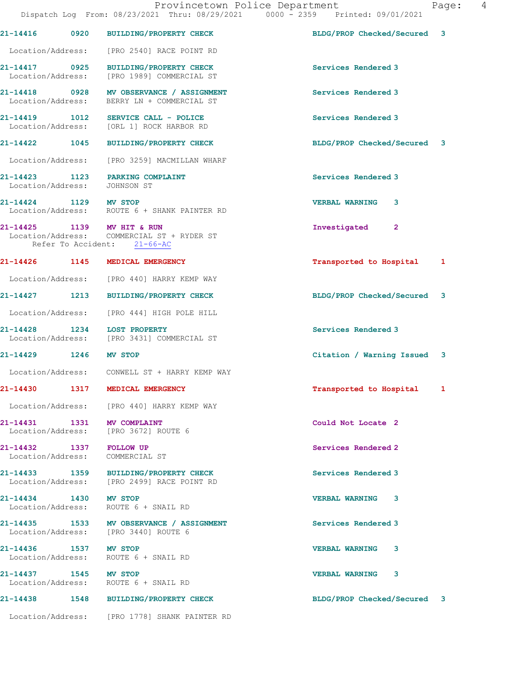|                              | Provincetown Police Department<br>Dispatch Log From: 08/23/2021 Thru: 08/29/2021 0000 - 2359 Printed: 09/01/2021 |                             | 4<br>Page: |
|------------------------------|------------------------------------------------------------------------------------------------------------------|-----------------------------|------------|
|                              | 21-14416 0920 BUILDING/PROPERTY CHECK                                                                            | BLDG/PROP Checked/Secured 3 |            |
|                              | Location/Address: [PRO 2540] RACE POINT RD                                                                       |                             |            |
|                              | 21-14417 0925 BUILDING/PROPERTY CHECK<br>Location/Address: [PRO 1989] COMMERCIAL ST                              | Services Rendered 3         |            |
|                              | 21-14418 0928 MV OBSERVANCE / ASSIGNMENT<br>Location/Address: BERRY LN + COMMERCIAL ST                           | Services Rendered 3         |            |
|                              | 21-14419   1012   SERVICE CALL - POLICE<br>Location/Address: [ORL 1] ROCK HARBOR RD                              | Services Rendered 3         |            |
|                              | 21-14422 1045 BUILDING/PROPERTY CHECK                                                                            | BLDG/PROP Checked/Secured 3 |            |
|                              | Location/Address: [PRO 3259] MACMILLAN WHARF                                                                     |                             |            |
| Location/Address: JOHNSON ST | 21-14423 1123 PARKING COMPLAINT                                                                                  | Services Rendered 3         |            |
| 21-14424 1129 MV STOP        | Location/Address: ROUTE 6 + SHANK PAINTER RD                                                                     | <b>VERBAL WARNING 3</b>     |            |
| 21-14425 1139 MV HIT & RUN   | Location/Address: COMMERCIAL ST + RYDER ST<br>Refer To Accident: 21-66-AC                                        | Investigated 2              |            |
|                              | 21-14426 1145 MEDICAL EMERGENCY                                                                                  | Transported to Hospital     | 1          |
|                              | Location/Address: [PRO 440] HARRY KEMP WAY                                                                       |                             |            |
|                              | 21-14427 1213 BUILDING/PROPERTY CHECK                                                                            | BLDG/PROP Checked/Secured 3 |            |
|                              | Location/Address: [PRO 444] HIGH POLE HILL                                                                       |                             |            |
|                              | 21-14428 1234 LOST PROPERTY<br>Location/Address: [PRO 3431] COMMERCIAL ST                                        | Services Rendered 3         |            |
| 21-14429 1246 MV STOP        |                                                                                                                  | Citation / Warning Issued 3 |            |
|                              | Location/Address: CONWELL ST + HARRY KEMP WAY                                                                    |                             |            |
|                              | 21-14430 1317 MEDICAL EMERGENCY                                                                                  | Transported to Hospital 1   |            |
|                              | Location/Address: [PRO 440] HARRY KEMP WAY                                                                       |                             |            |
| 21-14431 1331 MV COMPLAINT   | Location/Address: [PRO 3672] ROUTE 6                                                                             | Could Not Locate 2          |            |
| 21-14432 1337 FOLLOW UP      | Location/Address: COMMERCIAL ST                                                                                  | Services Rendered 2         |            |
|                              | 21-14433 1359 BUILDING/PROPERTY CHECK<br>Location/Address: [PRO 2499] RACE POINT RD                              | Services Rendered 3         |            |
| 21-14434 1430 MV STOP        | Location/Address: ROUTE 6 + SNAIL RD                                                                             | <b>VERBAL WARNING 3</b>     |            |
|                              | 21-14435 1533 MV OBSERVANCE / ASSIGNMENT<br>Location/Address: [PRO 3440] ROUTE 6                                 | Services Rendered 3         |            |
| 21-14436 1537 MV STOP        | Location/Address: ROUTE 6 + SNAIL RD                                                                             | VERBAL WARNING 3            |            |
| 21-14437 1545 MV STOP        | Location/Address: ROUTE 6 + SNAIL RD                                                                             | <b>VERBAL WARNING 3</b>     |            |
|                              | 21-14438 1548 BUILDING/PROPERTY CHECK                                                                            | BLDG/PROP Checked/Secured 3 |            |
|                              | Location/Address: [PRO 1778] SHANK PAINTER RD                                                                    |                             |            |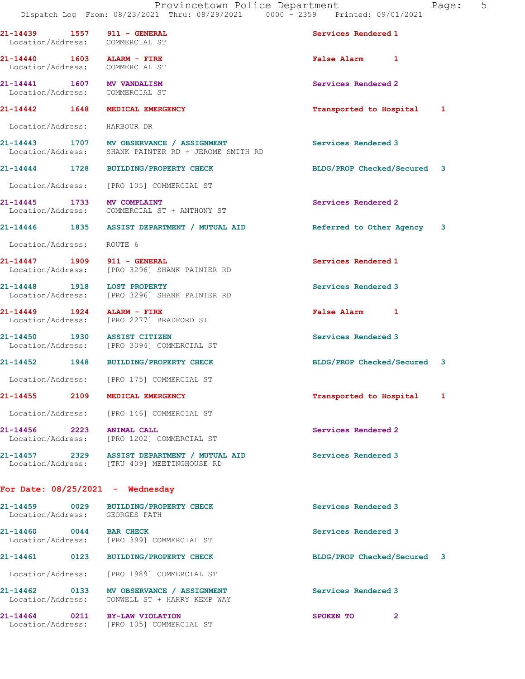| aqe: |  |  |
|------|--|--|

|                                | 21-14439 1557 911 - GENERAL<br>Location/Address: COMMERCIAL ST                                   | Services Rendered 1         |              |
|--------------------------------|--------------------------------------------------------------------------------------------------|-----------------------------|--------------|
| 21-14440   1603   ALARM - FIRE | Location/Address: COMMERCIAL ST                                                                  | False Alarm 1               |              |
|                                | 21-14441 1607 MV VANDALISM<br>Location/Address: COMMERCIAL ST                                    | Services Rendered 2         |              |
|                                | 21-14442 1648 MEDICAL EMERGENCY                                                                  | Transported to Hospital 1   |              |
| Location/Address:              | HARBOUR DR                                                                                       |                             |              |
|                                | 21-14443 1707 MV OBSERVANCE / ASSIGNMENT<br>Location/Address: SHANK PAINTER RD + JEROME SMITH RD | Services Rendered 3         |              |
|                                | 21-14444 1728 BUILDING/PROPERTY CHECK                                                            | BLDG/PROP Checked/Secured 3 |              |
|                                | Location/Address: [PRO 105] COMMERCIAL ST                                                        |                             |              |
| 21-14445 1733 MV COMPLAINT     | Location/Address: COMMERCIAL ST + ANTHONY ST                                                     | Services Rendered 2         |              |
|                                | 21-14446 1835 ASSIST DEPARTMENT / MUTUAL AID                                                     | Referred to Other Agency 3  |              |
| Location/Address: ROUTE 6      |                                                                                                  |                             |              |
|                                | 21-14447 1909 911 - GENERAL<br>Location/Address: [PRO 3296] SHANK PAINTER RD                     | Services Rendered 1         |              |
|                                | 21-14448 1918 LOST PROPERTY<br>Location/Address: [PRO 3296] SHANK PAINTER RD                     | Services Rendered 3         |              |
| 21-14449   1924   ALARM - FIRE | Location/Address: [PRO 2277] BRADFORD ST                                                         | False Alarm 1               |              |
|                                | 21-14450 1930 ASSIST CITIZEN<br>Location/Address: [PRO 3094] COMMERCIAL ST                       | Services Rendered 3         |              |
|                                | 21-14452 1948 BUILDING/PROPERTY CHECK                                                            | BLDG/PROP Checked/Secured 3 |              |
|                                | Location/Address: [PRO 175] COMMERCIAL ST                                                        |                             |              |
| 21-14455                       | 2109 MEDICAL EMERGENCY                                                                           | Transported to Hospital     | $\mathbf{1}$ |
|                                | Location/Address: [PRO 146] COMMERCIAL ST                                                        |                             |              |
| 21-14456 2223 ANIMAL CALL      | Location/Address: [PRO 1202] COMMERCIAL ST                                                       | Services Rendered 2         |              |
|                                | 21-14457 2329 ASSIST DEPARTMENT / MUTUAL AID<br>Location/Address: [TRU 409] MEETINGHOUSE RD      | Services Rendered 3         |              |
|                                | For Date: $08/25/2021$ - Wednesday                                                               |                             |              |
|                                | 21-14459 0029 BUILDING/PROPERTY CHECK<br>Location/Address: GEORGES PATH                          | Services Rendered 3         |              |
| 21-14460 0044 BAR CHECK        | Location/Address: [PRO 399] COMMERCIAL ST                                                        | Services Rendered 3         |              |
| 21-14461                       | 0123 BUILDING/PROPERTY CHECK                                                                     | BLDG/PROP Checked/Secured 3 |              |
| Location/Address:              | [PRO 1989] COMMERCIAL ST                                                                         |                             |              |
| Location/Address:              | 21-14462 0133 MV OBSERVANCE / ASSIGNMENT<br>CONWELL ST + HARRY KEMP WAY                          | Services Rendered 3         |              |
|                                | 21-14464 0211 BY-LAW VIOLATION<br>Location/Address: [PRO 105] COMMERCIAL ST                      | SPOKEN TO<br>$\mathbf{2}$   |              |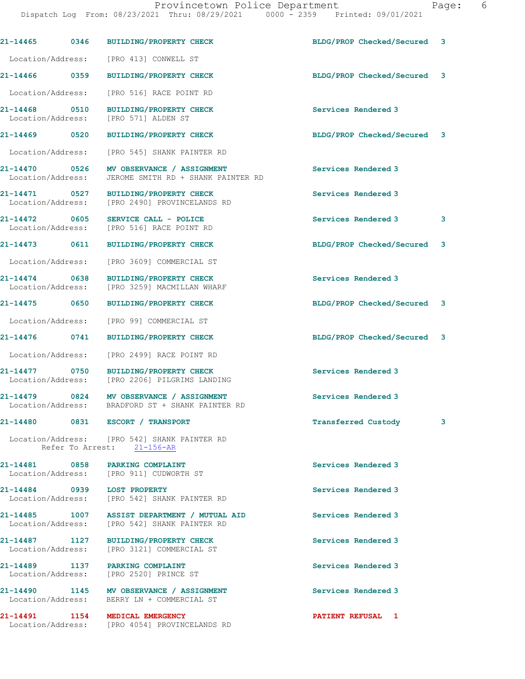|                                    | 21-14465 0346 BUILDING/PROPERTY CHECK                                                        | BLDG/PROP Checked/Secured 3 |   |
|------------------------------------|----------------------------------------------------------------------------------------------|-----------------------------|---|
|                                    | Location/Address: [PRO 413] CONWELL ST                                                       |                             |   |
|                                    | 21-14466 0359 BUILDING/PROPERTY CHECK                                                        | BLDG/PROP Checked/Secured 3 |   |
|                                    | Location/Address: [PRO 516] RACE POINT RD                                                    |                             |   |
|                                    | 21-14468 0510 BUILDING/PROPERTY CHECK<br>Location/Address: [PRO 571] ALDEN ST                | Services Rendered 3         |   |
| 21-14469 0520                      | BUILDING/PROPERTY CHECK                                                                      | BLDG/PROP Checked/Secured 3 |   |
|                                    | Location/Address: [PRO 545] SHANK PAINTER RD                                                 |                             |   |
| 21-14470 0526<br>Location/Address: | MV OBSERVANCE / ASSIGNMENT<br>JEROME SMITH RD + SHANK PAINTER RD                             | Services Rendered 3         |   |
| 21-14471 0527<br>Location/Address: | BUILDING/PROPERTY CHECK<br>[PRO 2490] PROVINCELANDS RD                                       | Services Rendered 3         |   |
| 21-14472 0605                      | SERVICE CALL - POLICE<br>Location/Address: [PRO 516] RACE POINT RD                           | Services Rendered 3         | 3 |
|                                    | 21-14473 0611 BUILDING/PROPERTY CHECK                                                        | BLDG/PROP Checked/Secured 3 |   |
|                                    | Location/Address: [PRO 3609] COMMERCIAL ST                                                   |                             |   |
|                                    | 21-14474 0638 BUILDING/PROPERTY CHECK<br>Location/Address: [PRO 3259] MACMILLAN WHARF        | Services Rendered 3         |   |
|                                    | 21-14475 0650 BUILDING/PROPERTY CHECK                                                        | BLDG/PROP Checked/Secured 3 |   |
|                                    | Location/Address: [PRO 99] COMMERCIAL ST                                                     |                             |   |
|                                    | 21-14476 0741 BUILDING/PROPERTY CHECK                                                        | BLDG/PROP Checked/Secured 3 |   |
|                                    | Location/Address: [PRO 2499] RACE POINT RD                                                   |                             |   |
| 21-14477 0750                      | <b>BUILDING/PROPERTY CHECK</b><br>Location/Address: [PRO 2206] PILGRIMS LANDING              | Services Rendered 3         |   |
|                                    | 21-14479 0824 MV OBSERVANCE / ASSIGNMENT<br>Location/Address: BRADFORD ST + SHANK PAINTER RD | Services Rendered 3         |   |
|                                    | 21-14480 0831 ESCORT / TRANSPORT                                                             | <b>Transferred Custody</b>  | 3 |
|                                    | Location/Address: [PRO 542] SHANK PAINTER RD<br>Refer To Arrest: 21-156-AR                   |                             |   |
|                                    | 21-14481 0858 PARKING COMPLAINT<br>Location/Address: [PRO 911] CUDWORTH ST                   | Services Rendered 3         |   |
| 21-14484 0939 LOST PROPERTY        | Location/Address: [PRO 542] SHANK PAINTER RD                                                 | Services Rendered 3         |   |
|                                    | 21-14485 1007 ASSIST DEPARTMENT / MUTUAL AID<br>Location/Address: [PRO 542] SHANK PAINTER RD | Services Rendered 3         |   |
|                                    | 21-14487 1127 BUILDING/PROPERTY CHECK<br>Location/Address: [PRO 3121] COMMERCIAL ST          | Services Rendered 3         |   |
|                                    | 21-14489 1137 PARKING COMPLAINT<br>Location/Address: [PRO 2520] PRINCE ST                    | Services Rendered 3         |   |
|                                    | 21-14490 1145 MV OBSERVANCE / ASSIGNMENT<br>Location/Address: BERRY LN + COMMERCIAL ST       | Services Rendered 3         |   |
|                                    | 21-14491 1154 MEDICAL EMERGENCY                                                              | <b>PATIENT REFUSAL 1</b>    |   |

Location/Address: [PRO 4054] PROVINCELANDS RD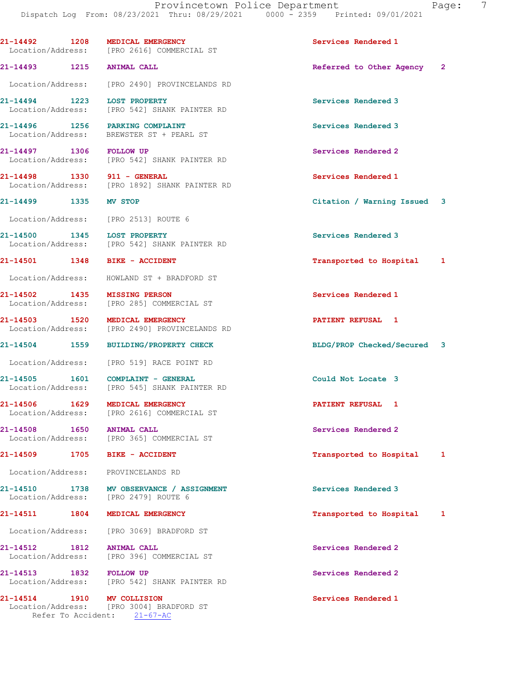21-14492 1208 MEDICAL EMERGENCY Services Rendered 1 Location/Address: [PRO 2616] COMMERCIAL ST 21-14493 1215 ANIMAL CALL Referred to Other Agency 2 Location/Address: [PRO 2490] PROVINCELANDS RD 21-14494 1223 LOST PROPERTY Services Rendered 3 Location/Address: [PRO 542] SHANK PAINTER RD 21-14496 1256 PARKING COMPLAINT Services Rendered 3 Location/Address: BREWSTER ST + PEARL ST 21-14497 1306 FOLLOW UP Services Rendered 2 Location/Address: [PRO 542] SHANK PAINTER RD 21-14498 1330 911 - GENERAL **Services Rendered 1**  Location/Address: [PRO 1892] SHANK PAINTER RD 21-14499 1335 MV STOP Citation / Warning Issued 3 Location/Address: [PRO 2513] ROUTE 6 21-14500 1345 LOST PROPERTY<br>
Location/Address: [PRO 542] SHANK PAINTER RD<br>
Services Rendered 3 [PRO 542] SHANK PAINTER RD 21-14501 1348 BIKE - ACCIDENT 1 21-14501 1 14501 1 Location/Address: HOWLAND ST + BRADFORD ST 21-14502 1435 MISSING PERSON Services Rendered 1 Location/Address: [PRO 285] COMMERCIAL ST 21-14503 1520 MEDICAL EMERGENCY PATIENT REFUSAL 1 [PRO 2490] PROVINCELANDS RD 21-14504 1559 BUILDING/PROPERTY CHECK BLDG/PROP Checked/Secured 3 Location/Address: [PRO 519] RACE POINT RD 21-14505 1601 COMPLAINT - GENERAL Could Not Locate 3<br>
Location/Address: [PRO 545] SHANK PAINTER RD [PRO 545] SHANK PAINTER RD 21-14506 1629 MEDICAL EMERGENCY **1200 1200 PATIENT REFUSAL**  Location/Address: [PRO 2616] COMMERCIAL ST 21-14508 1650 ANIMAL CALL 31-14508 Services Rendered 2 Location/Address: [PRO 365] COMMERCIAL ST 21-14509 1705 BIKE - ACCIDENT Transported to Hospital 1 Location/Address: PROVINCELANDS RD 21-14510 1738 MV OBSERVANCE / ASSIGNMENT Services Rendered 3 Location/Address: [PRO 2479] ROUTE 6 21-14511 1804 MEDICAL EMERGENCY **1804 MEDICAL EMERGENCY** 1804 1 Location/Address: [PRO 3069] BRADFORD ST 21-14512 1812 ANIMAL CALL Services Rendered 2 Location/Address: [PRO 396] COMMERCIAL ST 21-14513 1832 FOLLOW UP Services Rendered 2 Location/Address: [PRO 542] SHANK PAINTER RD 21-14514 1910 MV COLLISION Services Rendered 1 Location/Address: [PRO 3004] BRADFORD ST Refer To Accident: 21-67-AC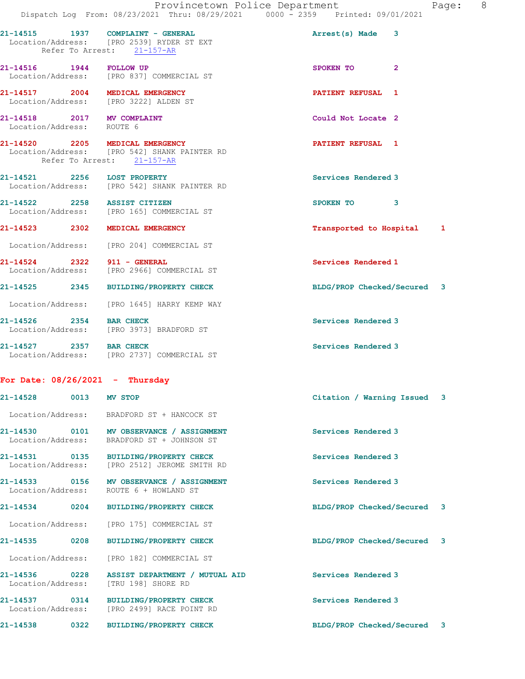|                                                         |      | Provincetown Police Department<br>Dispatch Log From: 08/23/2021 Thru: 08/29/2021 0000 - 2359 Printed: 09/01/2021 |                             |              | Page: 8 |  |
|---------------------------------------------------------|------|------------------------------------------------------------------------------------------------------------------|-----------------------------|--------------|---------|--|
|                                                         |      |                                                                                                                  |                             |              |         |  |
|                                                         |      | 21-14515 1937 COMPLAINT - GENERAL<br>Location/Address: [PRO 2539] RYDER ST EXT<br>Refer To Arrest: 21-157-AR     | Arrest(s) Made 3            |              |         |  |
| 21-14516  1944  FOLLOW UP                               |      | Location/Address: [PRO 837] COMMERCIAL ST                                                                        | SPOKEN TO                   | $\mathbf{2}$ |         |  |
|                                                         |      | 21-14517 2004 MEDICAL EMERGENCY<br>Location/Address: [PRO 3222] ALDEN ST                                         | PATIENT REFUSAL 1           |              |         |  |
| 21-14518 2017 MV COMPLAINT<br>Location/Address: ROUTE 6 |      |                                                                                                                  | Could Not Locate 2          |              |         |  |
|                                                         |      | 21-14520 2205 MEDICAL EMERGENCY<br>Location/Address: [PRO 542] SHANK PAINTER RD<br>Refer To Arrest: 21-157-AR    | <b>PATIENT REFUSAL 1</b>    |              |         |  |
| 21-14521 2256 LOST PROPERTY                             |      | Location/Address: [PRO 542] SHANK PAINTER RD                                                                     | Services Rendered 3         |              |         |  |
| 21-14522 2258 ASSIST CITIZEN                            |      | Location/Address: [PRO 165] COMMERCIAL ST                                                                        | SPOKEN TO 3                 |              |         |  |
|                                                         |      | 21-14523 2302 MEDICAL EMERGENCY                                                                                  | Transported to Hospital 1   |              |         |  |
|                                                         |      | Location/Address: [PRO 204] COMMERCIAL ST                                                                        |                             |              |         |  |
| 21-14524 2322 911 - GENERAL                             |      | Location/Address: [PRO 2966] COMMERCIAL ST                                                                       | Services Rendered 1         |              |         |  |
|                                                         |      | 21-14525 2345 BUILDING/PROPERTY CHECK                                                                            | BLDG/PROP Checked/Secured 3 |              |         |  |
|                                                         |      | Location/Address: [PRO 1645] HARRY KEMP WAY                                                                      |                             |              |         |  |
| 21-14526 2354 BAR CHECK                                 |      | Location/Address: [PRO 3973] BRADFORD ST                                                                         | Services Rendered 3         |              |         |  |
|                                                         |      | 21-14527 2357 BAR CHECK<br>Location/Address: [PRO 2737] COMMERCIAL ST                                            | Services Rendered 3         |              |         |  |
| For Date: $08/26/2021$ - Thursday                       |      |                                                                                                                  |                             |              |         |  |
| 21-14528                                                |      | 0013 MV STOP                                                                                                     | Citation / Warning Issued 3 |              |         |  |
|                                                         |      | Location/Address: BRADFORD ST + HANCOCK ST                                                                       |                             |              |         |  |
| Location/Address:                                       |      | 21-14530 0101 MV OBSERVANCE / ASSIGNMENT<br>BRADFORD ST + JOHNSON ST                                             | Services Rendered 3         |              |         |  |
| 21-14531 0135<br>Location/Address:                      |      | BUILDING/PROPERTY CHECK<br>[PRO 2512] JEROME SMITH RD                                                            | Services Rendered 3         |              |         |  |
| Location/Address:                                       |      | 21-14533 0156 MV OBSERVANCE / ASSIGNMENT<br>ROUTE 6 + HOWLAND ST                                                 | Services Rendered 3         |              |         |  |
| 21-14534 0204                                           |      | <b>BUILDING/PROPERTY CHECK</b>                                                                                   | BLDG/PROP Checked/Secured 3 |              |         |  |
| Location/Address:                                       |      | [PRO 175] COMMERCIAL ST                                                                                          |                             |              |         |  |
| 21-14535                                                | 0208 | <b>BUILDING/PROPERTY CHECK</b>                                                                                   | BLDG/PROP Checked/Secured 3 |              |         |  |
| Location/Address:                                       |      | [PRO 182] COMMERCIAL ST                                                                                          |                             |              |         |  |
| 21-14536 0228<br>Location/Address:                      |      | ASSIST DEPARTMENT / MUTUAL AID<br>[TRU 198] SHORE RD                                                             | Services Rendered 3         |              |         |  |
| 21-14537 0314                                           |      | <b>BUILDING/PROPERTY CHECK</b><br>Location/Address: [PRO 2499] RACE POINT RD                                     | Services Rendered 3         |              |         |  |
| 21-14538                                                | 0322 | <b>BUILDING/PROPERTY CHECK</b>                                                                                   | BLDG/PROP Checked/Secured 3 |              |         |  |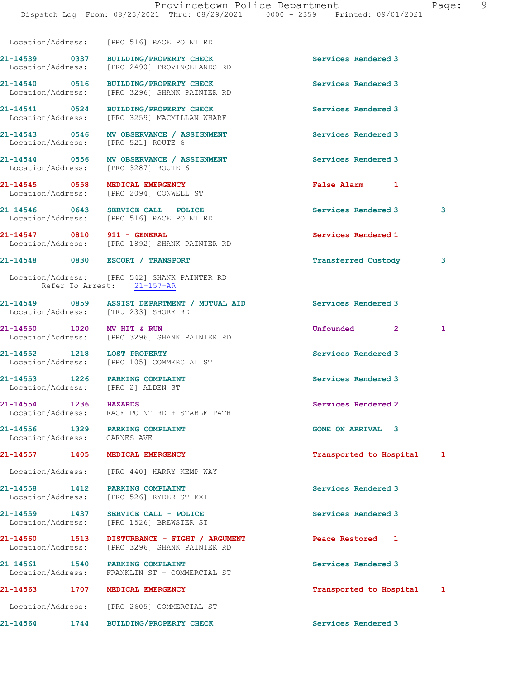|                                    | Location/Address: [PRO 516] RACE POINT RD                                                     |                                                   |   |
|------------------------------------|-----------------------------------------------------------------------------------------------|---------------------------------------------------|---|
| Location/Address:                  | 21-14539 0337 BUILDING/PROPERTY CHECK<br>[PRO 2490] PROVINCELANDS RD                          | Services Rendered 3                               |   |
|                                    | 21-14540 0516 BUILDING/PROPERTY CHECK<br>Location/Address: [PRO 3296] SHANK PAINTER RD        | Services Rendered 3                               |   |
| 21-14541 0524<br>Location/Address: | BUILDING/PROPERTY CHECK<br>[PRO 3259] MACMILLAN WHARF                                         | Services Rendered 3                               |   |
|                                    | 21-14543 0546 MV OBSERVANCE / ASSIGNMENT<br>Location/Address: [PRO 521] ROUTE 6               | Services Rendered 3                               |   |
|                                    | 21-14544 0556 MV OBSERVANCE / ASSIGNMENT<br>Location/Address: [PRO 3287] ROUTE 6              | Services Rendered 3                               |   |
|                                    | 21-14545 0558 MEDICAL EMERGENCY<br>Location/Address: [PRO 2094] CONWELL ST                    | False Alarm 1                                     |   |
|                                    | 21-14546 0643 SERVICE CALL - POLICE<br>Location/Address: [PRO 516] RACE POINT RD              | Services Rendered 3                               | 3 |
| 21-14547 0810 911 - GENERAL        | Location/Address: [PRO 1892] SHANK PAINTER RD                                                 | Services Rendered 1                               |   |
|                                    | 21-14548 0830 ESCORT / TRANSPORT                                                              | $\overline{\phantom{a}}$ 3<br>Transferred Custody |   |
|                                    | Location/Address: [PRO 542] SHANK PAINTER RD<br>Refer To Arrest: 21-157-AR                    |                                                   |   |
|                                    | 21-14549 0859 ASSIST DEPARTMENT / MUTUAL AID<br>Location/Address: [TRU 233] SHORE RD          | Services Rendered 3                               |   |
| 21-14550 1020 MV HIT & RUN         | Location/Address: [PRO 3296] SHANK PAINTER RD                                                 | Unfounded 2                                       | 1 |
| 21-14552 1218 LOST PROPERTY        | Location/Address: [PRO 105] COMMERCIAL ST                                                     | Services Rendered 3                               |   |
|                                    | 21-14553 1226 PARKING COMPLAINT<br>Location/Address: [PRO 2] ALDEN ST                         | Services Rendered 3                               |   |
| 21-14554 1236                      | <b>HAZARDS</b><br>Location/Address: RACE POINT RD + STABLE PATH                               | Services Rendered 2                               |   |
| Location/Address: CARNES AVE       | 21-14556 1329 PARKING COMPLAINT                                                               | <b>GONE ON ARRIVAL 3</b>                          |   |
|                                    | 21-14557 1405 MEDICAL EMERGENCY                                                               | Transported to Hospital 1                         |   |
|                                    | Location/Address: [PRO 440] HARRY KEMP WAY                                                    |                                                   |   |
|                                    | 21-14558 1412 PARKING COMPLAINT<br>Location/Address: [PRO 526] RYDER ST EXT                   | Services Rendered 3                               |   |
|                                    | 21-14559 1437 SERVICE CALL - POLICE<br>Location/Address: [PRO 1526] BREWSTER ST               | Services Rendered 3                               |   |
|                                    | 21-14560 1513 DISTURBANCE - FIGHT / ARGUMENT<br>Location/Address: [PRO 3296] SHANK PAINTER RD | Peace Restored 1                                  |   |
|                                    | 21-14561 1540 PARKING COMPLAINT<br>Location/Address: FRANKLIN ST + COMMERCIAL ST              | Services Rendered 3                               |   |
|                                    | 21-14563 1707 MEDICAL EMERGENCY                                                               | Transported to Hospital 1                         |   |
|                                    | Location/Address: [PRO 2605] COMMERCIAL ST                                                    |                                                   |   |
| 21-14564 1744                      | <b>BUILDING/PROPERTY CHECK</b>                                                                | Services Rendered 3                               |   |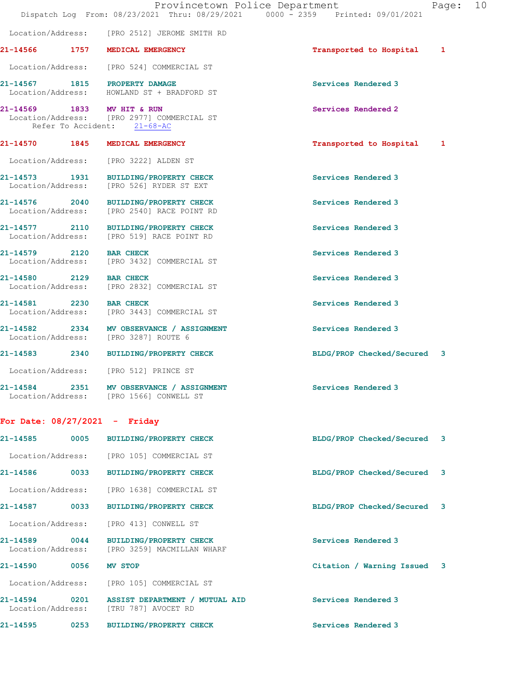|                                 |                   | Provincetown Police Department<br>Dispatch Log From: 08/23/2021 Thru: 08/29/2021 0000 - 2359 Printed: 09/01/2021 |                             | Page: 10 |  |
|---------------------------------|-------------------|------------------------------------------------------------------------------------------------------------------|-----------------------------|----------|--|
|                                 |                   | Location/Address: [PRO 2512] JEROME SMITH RD                                                                     |                             |          |  |
|                                 |                   | 21-14566 1757 MEDICAL EMERGENCY                                                                                  | Transported to Hospital 1   |          |  |
|                                 |                   | Location/Address: [PRO 524] COMMERCIAL ST                                                                        |                             |          |  |
|                                 |                   | 21-14567 1815 PROPERTY DAMAGE<br>Location/Address: HOWLAND ST + BRADFORD ST                                      | Services Rendered 3         |          |  |
|                                 |                   | 21-14569 1833 MV HIT & RUN<br>Location/Address: [PRO 2977] COMMERCIAL ST<br>Refer To Accident: 21-68-AC          | Services Rendered 2         |          |  |
|                                 |                   | 21-14570 1845 MEDICAL EMERGENCY                                                                                  | Transported to Hospital 1   |          |  |
|                                 |                   | Location/Address: [PRO 3222] ALDEN ST                                                                            |                             |          |  |
|                                 |                   | 21-14573 1931 BUILDING/PROPERTY CHECK<br>Location/Address: [PRO 526] RYDER ST EXT                                | Services Rendered 3         |          |  |
|                                 |                   | 21-14576 2040 BUILDING/PROPERTY CHECK<br>Location/Address: [PRO 2540] RACE POINT RD                              | Services Rendered 3         |          |  |
|                                 |                   | 21-14577 2110 BUILDING/PROPERTY CHECK<br>Location/Address: [PRO 519] RACE POINT RD                               | Services Rendered 3         |          |  |
|                                 |                   | 21-14579 2120 BAR CHECK<br>Location/Address: [PRO 3432] COMMERCIAL ST                                            | Services Rendered 3         |          |  |
|                                 |                   | 21-14580 2129 BAR CHECK<br>Location/Address: [PRO 2832] COMMERCIAL ST                                            | Services Rendered 3         |          |  |
| 21-14581 2230 BAR CHECK         |                   | Location/Address: [PRO 3443] COMMERCIAL ST                                                                       | Services Rendered 3         |          |  |
|                                 |                   | 21-14582 2334 MV OBSERVANCE / ASSIGNMENT<br>Location/Address: [PRO 3287] ROUTE 6                                 | Services Rendered 3         |          |  |
|                                 |                   | 21-14583 2340 BUILDING/PROPERTY CHECK                                                                            | BLDG/PROP Checked/Secured 3 |          |  |
|                                 |                   | Location/Address: [PRO 512] PRINCE ST                                                                            |                             |          |  |
|                                 |                   | 21-14584 2351 MV OBSERVANCE / ASSIGNMENT<br>Location/Address: [PRO 1566] CONWELL ST                              | Services Rendered 3         |          |  |
| For Date: $08/27/2021$ - Friday |                   |                                                                                                                  |                             |          |  |
| 21-14585                        |                   | 0005 BUILDING/PROPERTY CHECK                                                                                     | BLDG/PROP Checked/Secured 3 |          |  |
|                                 |                   | Location/Address: [PRO 105] COMMERCIAL ST                                                                        |                             |          |  |
|                                 |                   | 21-14586 0033 BUILDING/PROPERTY CHECK                                                                            | BLDG/PROP Checked/Secured 3 |          |  |
|                                 |                   | Location/Address: [PRO 1638] COMMERCIAL ST                                                                       |                             |          |  |
|                                 |                   | 21-14587 0033 BUILDING/PROPERTY CHECK                                                                            | BLDG/PROP Checked/Secured 3 |          |  |
| Location/Address:               |                   | [PRO 413] CONWELL ST                                                                                             |                             |          |  |
| Location/Address:               |                   | 21-14589 0044 BUILDING/PROPERTY CHECK<br>[PRO 3259] MACMILLAN WHARF                                              | Services Rendered 3         |          |  |
| 21-14590 0056                   |                   | MV STOP                                                                                                          | Citation / Warning Issued 3 |          |  |
|                                 |                   | Location/Address: [PRO 105] COMMERCIAL ST                                                                        |                             |          |  |
|                                 |                   | 21-14594 0201 ASSIST DEPARTMENT / MUTUAL AID<br>Location/Address: [TRU 787] AVOCET RD                            | Services Rendered 3         |          |  |
| 21-14595                        | $\overline{0253}$ | <b>BUILDING/PROPERTY CHECK</b>                                                                                   | Services Rendered 3         |          |  |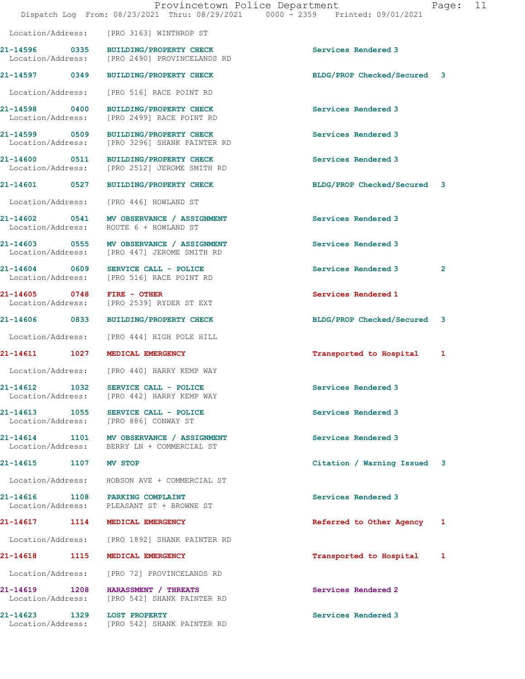|                             | Provincetown Police Department<br>Dispatch Log From: 08/23/2021 Thru: 08/29/2021 0000 - 2359 Printed: 09/01/2021 |                             | Page:        | 11 |
|-----------------------------|------------------------------------------------------------------------------------------------------------------|-----------------------------|--------------|----|
|                             | Location/Address: [PRO 3163] WINTHROP ST                                                                         |                             |              |    |
|                             | 21-14596 0335 BUILDING/PROPERTY CHECK<br>Location/Address: [PRO 2490] PROVINCELANDS RD                           | Services Rendered 3         |              |    |
|                             | 21-14597 0349 BUILDING/PROPERTY CHECK                                                                            | BLDG/PROP Checked/Secured 3 |              |    |
| Location/Address:           | [PRO 516] RACE POINT RD                                                                                          |                             |              |    |
| Location/Address:           | 21-14598 0400 BUILDING/PROPERTY CHECK<br>[PRO 2499] RACE POINT RD                                                | Services Rendered 3         |              |    |
|                             | 21-14599 0509 BUILDING/PROPERTY CHECK<br>Location/Address: [PRO 3296] SHANK PAINTER RD                           | Services Rendered 3         |              |    |
|                             | 21-14600 0511 BUILDING/PROPERTY CHECK<br>Location/Address: [PRO 2512] JEROME SMITH RD                            | Services Rendered 3         |              |    |
|                             | 21-14601 0527 BUILDING/PROPERTY CHECK                                                                            | BLDG/PROP Checked/Secured 3 |              |    |
|                             | Location/Address: [PRO 446] HOWLAND ST                                                                           |                             |              |    |
|                             | 21-14602 0541 MV OBSERVANCE / ASSIGNMENT<br>Location/Address: ROUTE 6 + HOWLAND ST                               | Services Rendered 3         |              |    |
|                             | 21-14603 0555 MV OBSERVANCE / ASSIGNMENT<br>Location/Address: [PRO 447] JEROME SMITH RD                          | Services Rendered 3         |              |    |
|                             | $21-14604$ 0609 SERVICE CALL - POLICE<br>Location/Address: [PRO 516] RACE POINT RD                               | Services Rendered 3         | $\mathbf{2}$ |    |
|                             | 21-14605 0748 FIRE - OTHER<br>Location/Address: [PRO 2539] RYDER ST EXT                                          | Services Rendered 1         |              |    |
|                             | 21-14606 0833 BUILDING/PROPERTY CHECK                                                                            | BLDG/PROP Checked/Secured 3 |              |    |
|                             | Location/Address: [PRO 444] HIGH POLE HILL                                                                       |                             |              |    |
|                             | 21-14611 1027 MEDICAL EMERGENCY                                                                                  | Transported to Hospital     | 1            |    |
|                             | Location/Address: [PRO 440] HARRY KEMP WAY                                                                       |                             |              |    |
|                             | 21-14612 1032 SERVICE CALL - POLICE<br>Location/Address: [PRO 442] HARRY KEMP WAY                                | Services Rendered 3         |              |    |
|                             | 21-14613 1055 SERVICE CALL - POLICE<br>Location/Address: [PRO 886] CONWAY ST                                     | Services Rendered 3         |              |    |
|                             | 21-14614 1101 MV OBSERVANCE / ASSIGNMENT<br>Location/Address: BERRY LN + COMMERCIAL ST                           | Services Rendered 3         |              |    |
| 21-14615 1107 MV STOP       |                                                                                                                  | Citation / Warning Issued 3 |              |    |
|                             | Location/Address: HOBSON AVE + COMMERCIAL ST                                                                     |                             |              |    |
|                             | 21-14616 1108 PARKING COMPLAINT<br>Location/Address: PLEASANT ST + BROWNE ST                                     | Services Rendered 3         |              |    |
|                             | 21-14617 1114 MEDICAL EMERGENCY                                                                                  | Referred to Other Agency 1  |              |    |
|                             | Location/Address: [PRO 1892] SHANK PAINTER RD                                                                    |                             |              |    |
|                             | 21-14618 1115 MEDICAL EMERGENCY                                                                                  | Transported to Hospital     | 1            |    |
|                             | Location/Address: [PRO 72] PROVINCELANDS RD                                                                      |                             |              |    |
|                             | 21-14619 1208 HARASSMENT / THREATS<br>Location/Address: [PRO 542] SHANK PAINTER RD                               | Services Rendered 2         |              |    |
| 21-14623 1329 LOST PROPERTY | Location/Address: [PRO 542] SHANK PAINTER RD                                                                     | Services Rendered 3         |              |    |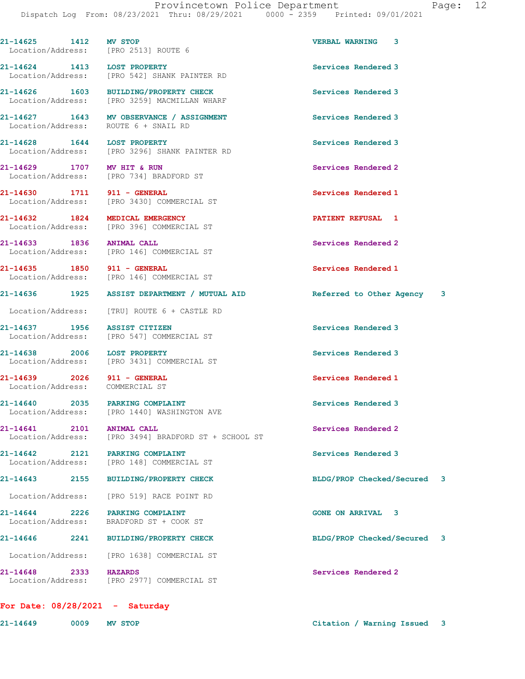21-14625 1412 MV STOP VERBAL WARNING 3 Location/Address: [PRO 2513] ROUTE 6 21-14624 1413 LOST PROPERTY Services Rendered 3 Location/Address: [PRO 542] SHANK PAINTER RD 21-14626 1603 BUILDING/PROPERTY CHECK Services Rendered 3 Location/Address: [PRO 3259] MACMILLAN WHARF 21-14627 1643 MV OBSERVANCE / ASSIGNMENT Services Rendered 3 Location/Address: ROUTE 6 + SNAIL RD 21-14628 1644 LOST PROPERTY Services Rendered 3 Location/Address: [PRO 3296] SHANK PAINTER RD 21-14629 1707 MV HIT & RUN Services Rendered 2 Location/Address: [PRO 734] BRADFORD ST 21-14630 1711 911 - GENERAL Services Rendered 1 Location/Address: [PRO 3430] COMMERCIAL ST 21-14632 1824 MEDICAL EMERGENCY **1228** 1824 1 Location/Address: [PRO 396] COMMERCIAL ST 21-14633 1836 ANIMAL CALL 21-14633 1836 ANIMAL CALL ST Services Rendered 2 [PRO 146] COMMERCIAL ST 21-14635 1850 911 - GENERAL Services Rendered 1 Location/Address: [PRO 146] COMMERCIAL ST 21-14636 1925 ASSIST DEPARTMENT / MUTUAL AID Referred to Other Agency 3 Location/Address: [TRU] ROUTE 6 + CASTLE RD 21-14637 1956 ASSIST CITIZEN Services Rendered 3 Location/Address: [PRO 547] COMMERCIAL ST 21-14638 2006 LOST PROPERTY **Services Rendered 3**  Location/Address: [PRO 3431] COMMERCIAL ST 21-14639 2026 911 - GENERAL Services Rendered 1 Location/Address: COMMERCIAL ST 21-14640 2035 PARKING COMPLAINT Services Rendered 3 Location/Address: [PRO 1440] WASHINGTON AVE 21-14641 2101 ANIMAL CALL 2001 2002 21-14641 Location/Address: [PRO 3494] BRADFORD ST + SCHOOL ST 21-14642 2121 PARKING COMPLAINT Services Rendered 3 Location/Address: [PRO 148] COMMERCIAL ST 21-14643 2155 BUILDING/PROPERTY CHECK BLDG/PROP Checked/Secured 3 Location/Address: [PRO 519] RACE POINT RD 21-14644 2226 PARKING COMPLAINT GONE ON ARRIVAL 3 Location/Address: BRADFORD ST + COOK ST 21-14646 2241 BUILDING/PROPERTY CHECK BLDG/PROP Checked/Secured 3

21-14648 2333 HAZARDS Services Rendered 2 Location/Address: [PRO 2977] COMMERCIAL ST

Location/Address: [PRO 1638] COMMERCIAL ST

| Saturday |
|----------|

21-14649 0009 MV STOP Citation / Warning Issued 3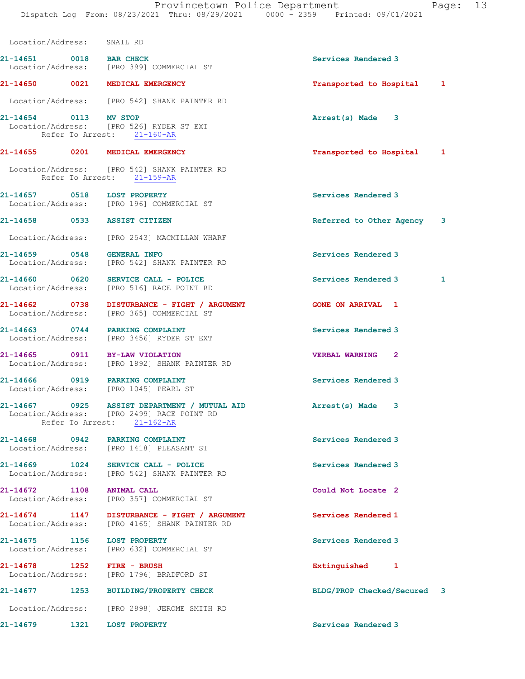| Location/Address:            | SNAIL RD                                                                                                                 |                            |   |
|------------------------------|--------------------------------------------------------------------------------------------------------------------------|----------------------------|---|
| 21-14651 0018 BAR CHECK      | Location/Address: [PRO 399] COMMERCIAL ST                                                                                | Services Rendered 3        |   |
|                              | 21-14650 0021 MEDICAL EMERGENCY                                                                                          | Transported to Hospital 1  |   |
|                              | Location/Address: [PRO 542] SHANK PAINTER RD                                                                             |                            |   |
| 21-14654 0113 MV STOP        | Location/Address: [PRO 526] RYDER ST EXT<br>Refer To Arrest: 21-160-AR                                                   | Arrest(s) Made 3           |   |
|                              | 21-14655 0201 MEDICAL EMERGENCY                                                                                          | Transported to Hospital 1  |   |
|                              | Location/Address: [PRO 542] SHANK PAINTER RD<br>Refer To Arrest: 21-159-AR                                               |                            |   |
| 21-14657 0518 LOST PROPERTY  | Location/Address: [PRO 196] COMMERCIAL ST                                                                                | Services Rendered 3        |   |
| 21-14658 0533 ASSIST CITIZEN |                                                                                                                          | Referred to Other Agency 3 |   |
|                              | Location/Address: [PRO 2543] MACMILLAN WHARF                                                                             |                            |   |
| 21-14659 0548 GENERAL INFO   | Location/Address: [PRO 542] SHANK PAINTER RD                                                                             | Services Rendered 3        |   |
|                              | 21-14660 0620 SERVICE CALL - POLICE<br>Location/Address: [PRO 516] RACE POINT RD                                         | Services Rendered 3        | 1 |
|                              | 21-14662 0738 DISTURBANCE - FIGHT / ARGUMENT<br>Location/Address: [PRO 365] COMMERCIAL ST                                | <b>GONE ON ARRIVAL 1</b>   |   |
|                              | 21-14663 0744 PARKING COMPLAINT<br>Location/Address: [PRO 3456] RYDER ST EXT                                             | Services Rendered 3        |   |
|                              | 21-14665 0911 BY-LAW VIOLATION<br>Location/Address: [PRO 1892] SHANK PAINTER RD                                          | VERBAL WARNING 2           |   |
|                              | 21-14666 0919 PARKING COMPLAINT<br>Location/Address: [PRO 1045] PEARL ST                                                 | Services Rendered 3        |   |
|                              | 21-14667 0925 ASSIST DEPARTMENT / MUTUAL AID<br>Location/Address: [PRO 2499] RACE POINT RD<br>Refer To Arrest: 21-162-AR | Arrest(s) Made 3           |   |
|                              | 21-14668 0942 PARKING COMPLAINT<br>Location/Address: [PRO 1418] PLEASANT ST                                              | Services Rendered 3        |   |
|                              | 21-14669 1024 SERVICE CALL - POLICE<br>Location/Address: [PRO 542] SHANK PAINTER RD                                      | Services Rendered 3        |   |
| 21-14672 1108 ANIMAL CALL    | Location/Address: [PRO 357] COMMERCIAL ST                                                                                | Could Not Locate 2         |   |
|                              | 21-14674 1147 DISTURBANCE - FIGHT / ARGUMENT<br>Location/Address: [PRO 4165] SHANK PAINTER RD                            | Services Rendered 1        |   |
| 21-14675 1156 LOST PROPERTY  | Location/Address: [PRO 632] COMMERCIAL ST                                                                                | Services Rendered 3        |   |
| 21-14678 1252 FIRE - BRUSH   | Location/Address: [PRO 1796] BRADFORD ST                                                                                 | Extinguished 1             |   |
| 21-14677                     | 1253 BUILDING/PROPERTY CHECK                                                                                             | BLDG/PROP Checked/Secured  | 3 |
|                              | Location/Address: [PRO 2898] JEROME SMITH RD                                                                             |                            |   |
| 21-14679                     | 1321 LOST PROPERTY                                                                                                       | Services Rendered 3        |   |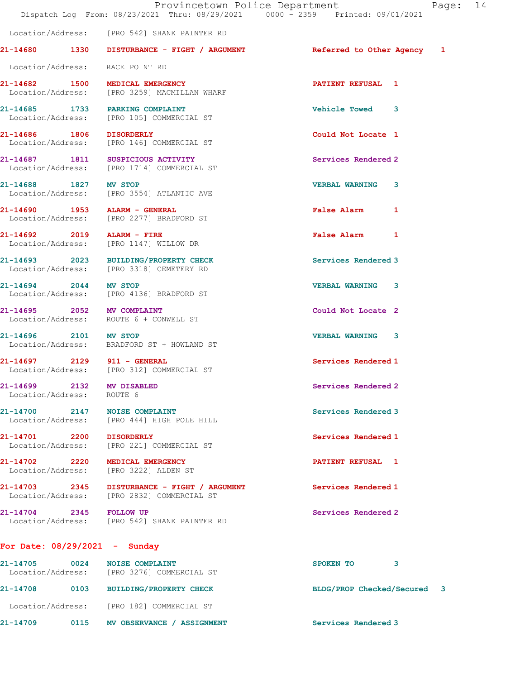|                           | Dispatch Log From: 08/23/2021 Thru: 08/29/2021 0000 - 2359 Printed: 09/01/2021             | Provincetown Police Department | Page: 14 |  |
|---------------------------|--------------------------------------------------------------------------------------------|--------------------------------|----------|--|
|                           | Location/Address: [PRO 542] SHANK PAINTER RD                                               |                                |          |  |
|                           | 21-14680 1330 DISTURBANCE - FIGHT / ARGUMENT <b>Referred</b> to Other Agency 1             |                                |          |  |
|                           | Location/Address: RACE POINT RD                                                            |                                |          |  |
|                           | 21-14682 1500 MEDICAL EMERGENCY<br>Location/Address: [PRO 3259] MACMILLAN WHARF            | <b>PATIENT REFUSAL 1</b>       |          |  |
|                           | 21-14685 1733 PARKING COMPLAINT<br>Location/Address: [PRO 105] COMMERCIAL ST               | Vehicle Towed 3                |          |  |
|                           | 21-14686 1806 DISORDERLY<br>Location/Address: [PRO 146] COMMERCIAL ST                      | Could Not Locate 1             |          |  |
|                           | 21-14687 1811 SUSPICIOUS ACTIVITY<br>Location/Address: [PRO 1714] COMMERCIAL ST            | Services Rendered 2            |          |  |
|                           | 21-14688 1827 MV STOP<br>Location/Address: [PRO 3554] ATLANTIC AVE                         | <b>VERBAL WARNING 3</b>        |          |  |
|                           | 21-14690 1953 ALARM - GENERAL<br>Location/Address: [PRO 2277] BRADFORD ST                  | False Alarm 1                  |          |  |
|                           | 21-14692 2019 ALARM - FIRE<br>Location/Address: [PRO 1147] WILLOW DR                       | False Alarm 1                  |          |  |
|                           | 21-14693 2023 BUILDING/PROPERTY CHECK<br>Location/Address: [PRO 3318] CEMETERY RD          | Services Rendered 3            |          |  |
| 21-14694 2044 MV STOP     | Location/Address: [PRO 4136] BRADFORD ST                                                   | <b>VERBAL WARNING 3</b>        |          |  |
|                           | 21-14695 2052 MV COMPLAINT<br>Location/Address: ROUTE 6 + CONWELL ST                       | Could Not Locate 2             |          |  |
| 21-14696 2101 MV STOP     | Location/Address: BRADFORD ST + HOWLAND ST                                                 | <b>VERBAL WARNING 3</b>        |          |  |
|                           | 21-14697 2129 911 - GENERAL<br>Location/Address: [PRO 312] COMMERCIAL ST                   | Services Rendered 1            |          |  |
| Location/Address: ROUTE 6 | 21-14699 2132 MV DISABLED                                                                  | Services Rendered 2            |          |  |
|                           | 21-14700 2147 NOISE COMPLAINT<br>Location/Address: [PRO 444] HIGH POLE HILL                | Services Rendered 3            |          |  |
|                           | 21-14701 2200 DISORDERLY<br>Location/Address: [PRO 221] COMMERCIAL ST                      | Services Rendered 1            |          |  |
|                           | 21-14702 2220 MEDICAL EMERGENCY<br>Location/Address: [PRO 3222] ALDEN ST                   | <b>PATIENT REFUSAL 1</b>       |          |  |
|                           | 21-14703 2345 DISTURBANCE - FIGHT / ARGUMENT<br>Location/Address: [PRO 2832] COMMERCIAL ST | Services Rendered 1            |          |  |
| 21-14704 2345 FOLLOW UP   | Location/Address: [PRO 542] SHANK PAINTER RD                                               | Services Rendered 2            |          |  |
|                           | For Date: $08/29/2021 -$ Sunday                                                            |                                |          |  |

| 21-14709                      | 0115 | <b>MV OBSERVANCE</b><br><b>ASSIGNMENT</b>          | Services Rendered 3       |                         |
|-------------------------------|------|----------------------------------------------------|---------------------------|-------------------------|
| Location/Address:             |      | [PRO 182] COMMERCIAL ST                            |                           |                         |
| 21-14708                      | 0103 | <b>BUILDING/PROPERTY CHECK</b>                     | BLDG/PROP Checked/Secured | $\overline{\mathbf{3}}$ |
| 21-14705<br>Location/Address: | 0024 | <b>NOISE COMPLAINT</b><br>[PRO 3276] COMMERCIAL ST | <b>SPOKEN TO</b>          |                         |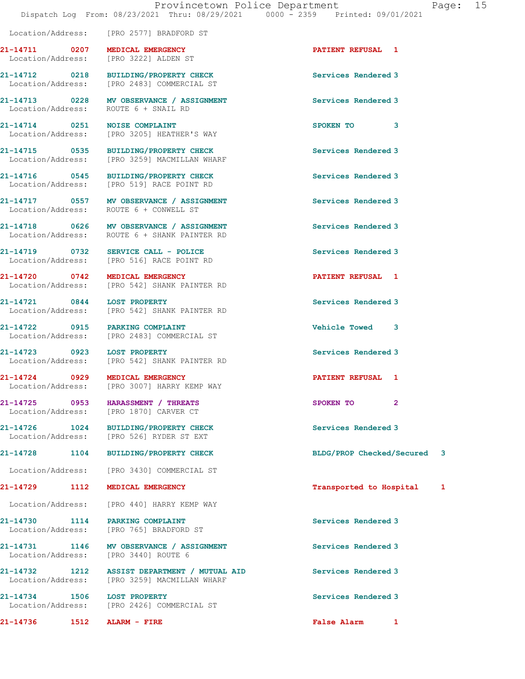|                                 | Location/Address: [PRO 2577] BRADFORD ST                                                     |                             |   |
|---------------------------------|----------------------------------------------------------------------------------------------|-----------------------------|---|
|                                 | 21-14711 0207 MEDICAL EMERGENCY<br>Location/Address: [PRO 3222] ALDEN ST                     | <b>PATIENT REFUSAL 1</b>    |   |
|                                 | 21-14712 0218 BUILDING/PROPERTY CHECK<br>Location/Address: [PRO 2483] COMMERCIAL ST          | Services Rendered 3         |   |
|                                 | 21-14713 0228 MV OBSERVANCE / ASSIGNMENT<br>Location/Address: ROUTE 6 + SNAIL RD             | Services Rendered 3         |   |
| 21-14714 0251 NOISE COMPLAINT   | Location/Address: [PRO 3205] HEATHER'S WAY                                                   | SPOKEN TO<br>3              |   |
|                                 | 21-14715 0535 BUILDING/PROPERTY CHECK<br>Location/Address: [PRO 3259] MACMILLAN WHARF        | Services Rendered 3         |   |
|                                 | 21-14716 0545 BUILDING/PROPERTY CHECK<br>Location/Address: [PRO 519] RACE POINT RD           | Services Rendered 3         |   |
|                                 | 21-14717 0557 MV OBSERVANCE / ASSIGNMENT<br>Location/Address: ROUTE 6 + CONWELL ST           | Services Rendered 3         |   |
|                                 | 21-14718 0626 MV OBSERVANCE / ASSIGNMENT<br>Location/Address: ROUTE 6 + SHANK PAINTER RD     | Services Rendered 3         |   |
|                                 | $21-14719$ 0732 SERVICE CALL - POLICE<br>Location/Address: [PRO 516] RACE POINT RD           | Services Rendered 3         |   |
|                                 | 21-14720 0742 MEDICAL EMERGENCY<br>Location/Address: [PRO 542] SHANK PAINTER RD              | <b>PATIENT REFUSAL 1</b>    |   |
|                                 | 21-14721 0844 LOST PROPERTY<br>Location/Address: [PRO 542] SHANK PAINTER RD                  | Services Rendered 3         |   |
|                                 | 21-14722 0915 PARKING COMPLAINT<br>Location/Address: [PRO 2483] COMMERCIAL ST                | Vehicle Towed 3             |   |
| 21-14723 0923                   | <b>LOST PROPERTY</b><br>Location/Address: [PRO 542] SHANK PAINTER RD                         | Services Rendered 3         |   |
|                                 | 21-14724 0929 MEDICAL EMERGENCY<br>Location/Address: [PRO 3007] HARRY KEMP WAY               | <b>PATIENT REFUSAL 1</b>    |   |
|                                 | 21-14725 0953 HARASSMENT / THREATS<br>Location/Address: [PRO 1870] CARVER CT                 | SPOKEN TO<br>$\overline{2}$ |   |
|                                 | 21-14726 1024 BUILDING/PROPERTY CHECK<br>Location/Address: [PRO 526] RYDER ST EXT            | Services Rendered 3         |   |
|                                 | 21-14728 1104 BUILDING/PROPERTY CHECK                                                        | BLDG/PROP Checked/Secured 3 |   |
|                                 | Location/Address: [PRO 3430] COMMERCIAL ST                                                   |                             |   |
| 21-14729                        | 1112 MEDICAL EMERGENCY                                                                       | Transported to Hospital     | 1 |
|                                 | Location/Address: [PRO 440] HARRY KEMP WAY                                                   |                             |   |
| 21-14730 1114 PARKING COMPLAINT | Location/Address: [PRO 765] BRADFORD ST                                                      | Services Rendered 3         |   |
|                                 | 21-14731 1146 MV OBSERVANCE / ASSIGNMENT<br>Location/Address: [PRO 3440] ROUTE 6             | Services Rendered 3         |   |
|                                 | 21-14732 1212 ASSIST DEPARTMENT / MUTUAL AID<br>Location/Address: [PRO 3259] MACMILLAN WHARF | Services Rendered 3         |   |
| 21-14734 1506 LOST PROPERTY     | Location/Address: [PRO 2426] COMMERCIAL ST                                                   | Services Rendered 3         |   |
|                                 |                                                                                              | <b>False Alarm</b><br>1     |   |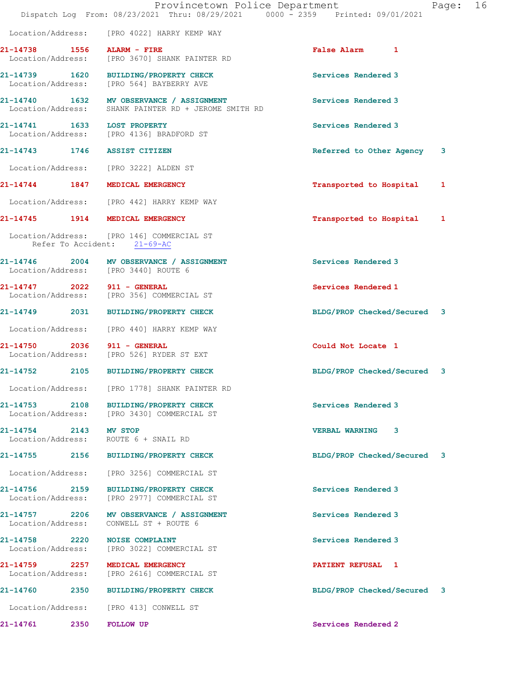|                                    |                                                                                                  | Provincetown Police Department<br>Dispatch Log From: 08/23/2021 Thru: 08/29/2021 0000 - 2359 Printed: 09/01/2021 | Page: | 16 |
|------------------------------------|--------------------------------------------------------------------------------------------------|------------------------------------------------------------------------------------------------------------------|-------|----|
|                                    | Location/Address: [PRO 4022] HARRY KEMP WAY                                                      |                                                                                                                  |       |    |
| 21-14738 1556 ALARM - FIRE         | Location/Address: [PRO 3670] SHANK PAINTER RD                                                    | False Alarm 1                                                                                                    |       |    |
| Location/Address:                  | 21-14739 1620 BUILDING/PROPERTY CHECK<br>[PRO 564] BAYBERRY AVE                                  | Services Rendered 3                                                                                              |       |    |
|                                    | 21-14740 1632 MV OBSERVANCE / ASSIGNMENT<br>Location/Address: SHANK PAINTER RD + JEROME SMITH RD | Services Rendered 3                                                                                              |       |    |
| 21-14741 1633 LOST PROPERTY        | Location/Address: [PRO 4136] BRADFORD ST                                                         | Services Rendered 3                                                                                              |       |    |
|                                    | 21-14743 1746 ASSIST CITIZEN                                                                     | Referred to Other Agency                                                                                         | 3     |    |
|                                    | Location/Address: [PRO 3222] ALDEN ST                                                            |                                                                                                                  |       |    |
|                                    | 21-14744 1847 MEDICAL EMERGENCY                                                                  | Transported to Hospital                                                                                          | 1     |    |
|                                    | Location/Address: [PRO 442] HARRY KEMP WAY                                                       |                                                                                                                  |       |    |
|                                    | 21-14745 1914 MEDICAL EMERGENCY                                                                  | Transported to Hospital                                                                                          | 1     |    |
|                                    | Location/Address: [PRO 146] COMMERCIAL ST<br>Refer To Accident: 21-69-AC                         |                                                                                                                  |       |    |
|                                    | 21-14746 2004 MV OBSERVANCE / ASSIGNMENT<br>Location/Address: [PRO 3440] ROUTE 6                 | Services Rendered 3                                                                                              |       |    |
| 21-14747 2022 911 - GENERAL        | Location/Address: [PRO 356] COMMERCIAL ST                                                        | Services Rendered 1                                                                                              |       |    |
|                                    | 21-14749 2031 BUILDING/PROPERTY CHECK                                                            | BLDG/PROP Checked/Secured 3                                                                                      |       |    |
|                                    | Location/Address: [PRO 440] HARRY KEMP WAY                                                       |                                                                                                                  |       |    |
| 21-14750 2036 911 - GENERAL        | Location/Address: [PRO 526] RYDER ST EXT                                                         | Could Not Locate 1                                                                                               |       |    |
| 21-14752                           | 2105 BUILDING/PROPERTY CHECK                                                                     | BLDG/PROP Checked/Secured 3                                                                                      |       |    |
| Location/Address:                  | [PRO 1778] SHANK PAINTER RD                                                                      |                                                                                                                  |       |    |
| 21-14753 2108                      | BUILDING/PROPERTY CHECK<br>Location/Address: [PRO 3430] COMMERCIAL ST                            | Services Rendered 3                                                                                              |       |    |
| 21-14754 2143 MV STOP              | Location/Address: ROUTE 6 + SNAIL RD                                                             | VERBAL WARNING 3                                                                                                 |       |    |
|                                    | 21-14755 2156 BUILDING/PROPERTY CHECK                                                            | BLDG/PROP Checked/Secured 3                                                                                      |       |    |
| Location/Address:                  | [PRO 3256] COMMERCIAL ST                                                                         |                                                                                                                  |       |    |
|                                    | 21-14756 2159 BUILDING/PROPERTY CHECK<br>Location/Address: [PRO 2977] COMMERCIAL ST              | Services Rendered 3                                                                                              |       |    |
| 21-14757 2206<br>Location/Address: | MV OBSERVANCE / ASSIGNMENT<br>CONWELL ST + ROUTE 6                                               | Services Rendered 3                                                                                              |       |    |
|                                    | 21-14758 2220 NOISE COMPLAINT<br>Location/Address: [PRO 3022] COMMERCIAL ST                      | Services Rendered 3                                                                                              |       |    |
| 21-14759 2257<br>Location/Address: | MEDICAL EMERGENCY<br>[PRO 2616] COMMERCIAL ST                                                    | PATIENT REFUSAL 1                                                                                                |       |    |
|                                    | 21-14760 2350 BUILDING/PROPERTY CHECK                                                            | BLDG/PROP Checked/Secured 3                                                                                      |       |    |
|                                    | Location/Address: [PRO 413] CONWELL ST                                                           |                                                                                                                  |       |    |
| 21-14761                           | 2350<br><b>FOLLOW UP</b>                                                                         | Services Rendered 2                                                                                              |       |    |